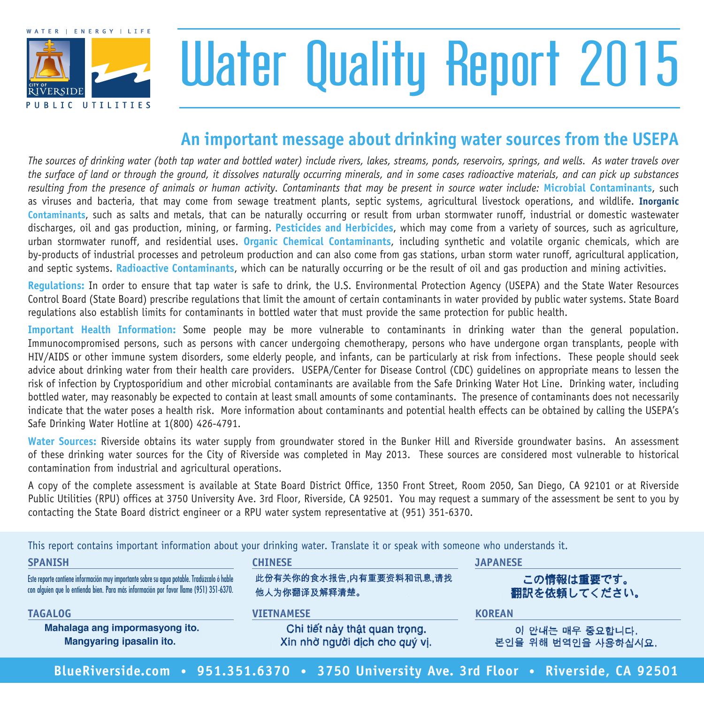

# Water Quality Report 2015

### **An important message about drinking water sources from the USEPA**

*The sources of drinking water (both tap water and bottled water) include rivers, lakes, streams, ponds, reservoirs, springs, and wells. As water travels over the surface of land or through the ground, it dissolves naturally occurring minerals, and in some cases radioactive materials, and can pick up substances resulting from the presence of animals or human activity. Contaminants that may be present in source water include:* **Microbial Contaminants**, such as viruses and bacteria, that may come from sewage treatment plants, septic systems, agricultural livestock operations, and wildlife. **Inorganic Contaminants**, such as salts and metals, that can be naturally occurring or result from urban stormwater runoff, industrial or domestic wastewater discharges, oil and gas production, mining, or farming. **Pesticides and Herbicides**, which may come from a variety of sources, such as agriculture, urban stormwater runoff, and residential uses. **Organic Chemical Contaminants**, including synthetic and volatile organic chemicals, which are by-products of industrial processes and petroleum production and can also come from gas stations, urban storm water runoff, agricultural application, and septic systems. **Radioactive Contaminants**, which can be naturally occurring or be the result of oil and gas production and mining activities.

**Regulations:** In order to ensure that tap water is safe to drink, the U.S. Environmental Protection Agency (USEPA) and the State Water Resources Control Board (State Board) prescribe regulations that limit the amount of certain contaminants in water provided by public water systems. State Board regulations also establish limits for contaminants in bottled water that must provide the same protection for public health.

**Important Health Information:** Some people may be more vulnerable to contaminants in drinking water than the general population. Immunocompromised persons, such as persons with cancer undergoing chemotherapy, persons who have undergone organ transplants, people with HIV/AIDS or other immune system disorders, some elderly people, and infants, can be particularly at risk from infections. These people should seek advice about drinking water from their health care providers. USEPA/Center for Disease Control (CDC) guidelines on appropriate means to lessen the risk of infection by Cryptosporidium and other microbial contaminants are available from the Safe Drinking Water Hot Line. Drinking water, including bottled water, may reasonably be expected to contain at least small amounts of some contaminants. The presence of contaminants does not necessarily indicate that the water poses a health risk. More information about contaminants and potential health effects can be obtained by calling the USEPA's Safe Drinking Water Hotline at 1(800) 426-4791.

**Water Sources:** Riverside obtains its water supply from groundwater stored in the Bunker Hill and Riverside groundwater basins. An assessment of these drinking water sources for the City of Riverside was completed in May 2013. These sources are considered most vulnerable to historical contamination from industrial and agricultural operations.

A copy of the complete assessment is available at State Board District Office, 1350 Front Street, Room 2050, San Diego, CA 92101 or at Riverside Public Utilities (RPU) offices at 3750 University Ave. 3rd Floor, Riverside, CA 92501. You may request a summary of the assessment be sent to you by contacting the State Board district engineer or a RPU water system representative at (951) 351-6370.

This report contains important information about your drinking water. Translate it or speak with someone who understands it. **SPANISH CHINESE JAPANESE**

此份有关你的食水报告,内有重要资料和讯息,请找 Este reporte contiene información muy importante sobre su agua potable. Tradúzcalo ó hable この情報は重要です。 con alguien que lo entienda bien. Para más información por favor llame (951) 351-6370. 他人为你翻译及解释清楚。 翻訳を依頼してください。 **TAGALOG VIETNAMESE KOREAN**Mahalaga ang impormasyong ito. Chi tiết này thật quan trọng. 이 안내는 매우 중요합니다. Mangyaring ipasalin ito. Xin nhờ người dịch cho quý vi. 본인을 위해 번역인을 사용하십시요.

**BlueRiverside.com • 951.351.6370 • 3750 University Ave. 3rd Floor • Riverside, CA 92501**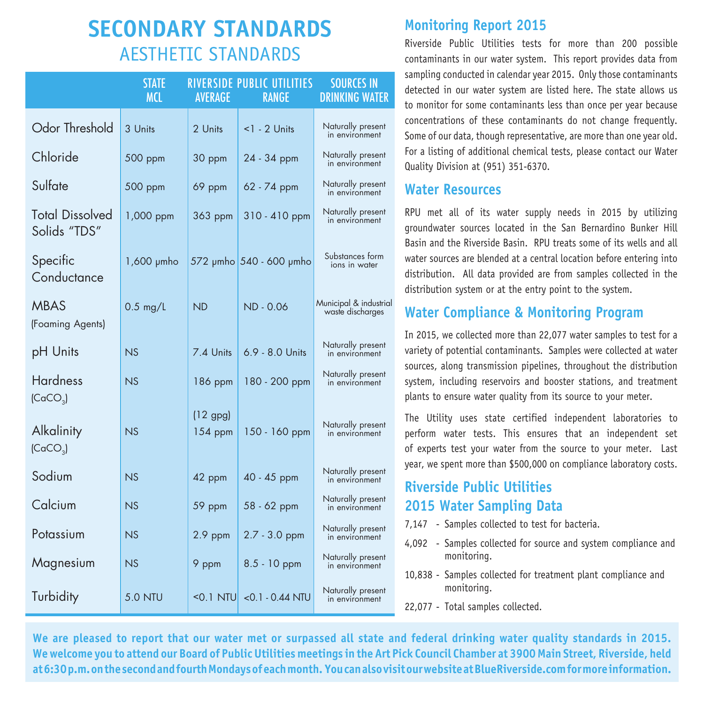## **SECONDARY STANDARDS** AESTHETIC STANDARDS

|                                                            | <b>STATE</b><br><b>MCL</b> | <b>AVERAGE</b>          | RIVERSIDE PUBLIC UTILITIES<br><b>RANGE</b> | <b>SOURCES IN</b><br><b>DRINKING WATER</b> |
|------------------------------------------------------------|----------------------------|-------------------------|--------------------------------------------|--------------------------------------------|
| Odor Threshold                                             | 3 Units                    | 2 Units                 | $1$ - 2 Units                              | Naturally present<br>in environment        |
| Chloride                                                   | 500 ppm                    | 30 ppm                  | 24 - 34 ppm                                | Naturally present<br>in environment        |
| Sulfate                                                    | 500 ppm                    | 69 ppm                  | 62 - 74 ppm                                | Naturally present<br>in environment        |
| <b>Total Dissolved</b><br>Solids "TDS"                     | 1,000 ppm                  | 363 ppm                 | $310 - 410$ ppm                            | Naturally present<br>in environment        |
| Specific<br>Conductance                                    | 1,600 µmho                 |                         | 572 µmho 540 - 600 µmho                    | Substances form<br>ions in water           |
| <b>MBAS</b><br>(Foaming Agents)                            | $0.5$ mg/L                 | <b>ND</b>               | ND - 0.06                                  | Municipal & industrial<br>waste discharges |
| pH Units                                                   | NS                         | 7.4 Units               | 6.9 - 8.0 Units                            | Naturally present<br>in environment        |
| <b>Hardness</b>                                            | NS                         | 186 ppm                 | 180 - 200 ppm                              | Naturally present<br>in environment        |
| (CaCO <sub>3</sub> )<br>Alkalinity<br>(CaCO <sub>3</sub> ) | NS                         | $(12$ gpg)<br>$154$ ppm | 150 - 160 ppm                              | Naturally present<br>in environment        |
| Sodium                                                     | NS                         | 42 ppm                  | 40 - 45 ppm                                | Naturally present<br>in environment        |
| Calcium                                                    | NS                         | 59 ppm                  | 58 - 62 ppm                                | Naturally present<br>in environment        |
| Potassium                                                  | NS                         | $2.9$ ppm               | $2.7 - 3.0$ ppm                            | Naturally present<br>in environment        |
| Magnesium                                                  | NS                         | 9 ppm                   | $8.5 - 10$ ppm                             | Naturally present<br>in environment        |
| Turbidity                                                  | <b>5.0 NTU</b>             | $0.1$ NTU               | $<$ 0.1 $-$ 0.44 NTU                       | Naturally present<br>in environment        |

#### **Monitoring Report 2015**

Riverside Public Utilities tests for more than 200 possible contaminants in our water system. This report provides data from sampling conducted in calendar year 2015. Only those contaminants detected in our water system are listed here. The state allows us to monitor for some contaminants less than once per year because concentrations of these contaminants do not change frequently. Some of our data, though representative, are more than one year old. For a listing of additional chemical tests, please contact our Water Quality Division at (951) 351-6370.

#### **Water Resources**

RPU met all of its water supply needs in 2015 by utilizing groundwater sources located in the San Bernardino Bunker Hill Basin and the Riverside Basin. RPU treats some of its wells and all water sources are blended at a central location before entering into distribution. All data provided are from samples collected in the distribution system or at the entry point to the system.

#### **Water Compliance & Monitoring Program**

In 2015, we collected more than 22,077 water samples to test for a variety of potential contaminants. Samples were collected at water sources, along transmission pipelines, throughout the distribution system, including reservoirs and booster stations, and treatment plants to ensure water quality from its source to your meter.

The Utility uses state certified independent laboratories to perform water tests. This ensures that an independent set of experts test your water from the source to your meter. Last year, we spent more than \$500,000 on compliance laboratory costs.

#### **Riverside Public Utilities 2015 Water Sampling Data**

- 7,147 Samples collected to test for bacteria.
- 4,092 Samples collected for source and system compliance and monitoring.
- 10,838 Samples collected for treatment plant compliance and monitoring.
- 22,077 Total samples collected.

**We are pleased to report that our water met or surpassed all state and federal drinking water quality standards in 2015. We welcome you to attend our Board of Public Utilities meetings in the Art Pick Council Chamber at 3900 Main Street, Riverside, held at 6:30 p.m. on the second and fourth Mondays of each month. You can also visit our website at BlueRiverside.com for more information.**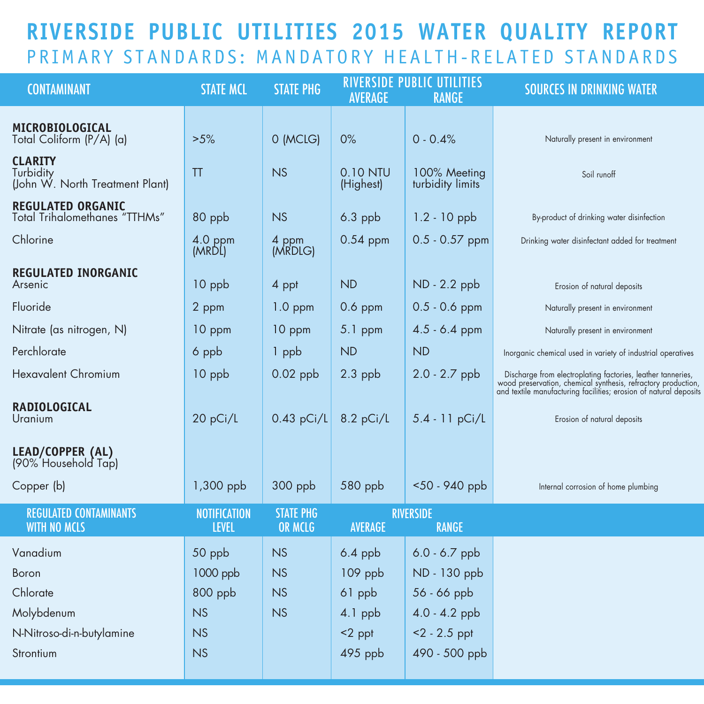## **RIVERSIDE PUBLIC UTILITIES 2015 WATER QUALITY REPORT** PRIMARY STANDARDS: MANDATORY HEALTH-RELATED STANDARDS

| <b>CONTAMINANT</b>                                               | <b>STATE MCL</b>                    | <b>STATE PHG</b>            | <b>AVERAGE</b>        | <b>RIVERSIDE PUBLIC UTILITIES</b><br><b>RANGE</b> | <b>SOURCES IN DRINKING WATER</b>                                                                                                                                                                  |
|------------------------------------------------------------------|-------------------------------------|-----------------------------|-----------------------|---------------------------------------------------|---------------------------------------------------------------------------------------------------------------------------------------------------------------------------------------------------|
| MICROBIOLOGICAL<br>Total Coliform (P/A) (a)                      | >5%                                 | 0 (MCLG)                    | 0%                    | $0 - 0.4%$                                        | Naturally present in environment                                                                                                                                                                  |
| <b>CLARITY</b><br>Turbidity<br>(John W. North Treatment Plant)   | TT                                  | <b>NS</b>                   | 0.10 NTU<br>(Highest) | 100% Meeting<br>turbidity limits                  | Soil runoff                                                                                                                                                                                       |
| <b>REGULATED ORGANIC</b><br><b>Total Trihalomethanes "TTHMs"</b> | 80 ppb                              | NS                          | $6.3$ ppb             | $1.2 - 10$ ppb                                    | By-product of drinking water disinfection                                                                                                                                                         |
| Chlorine                                                         | 4.0 ppm<br>(MRDL)                   | 4 ppm<br>(MRDLG)            | $0.54$ ppm            | $0.5 - 0.57$ ppm                                  | Drinking water disinfectant added for treatment                                                                                                                                                   |
| <b>REGULATED INORGANIC</b><br>Arsenic                            | 10 ppb                              | 4 ppt                       | <b>ND</b>             | ND - 2.2 ppb                                      | Erosion of natural deposits                                                                                                                                                                       |
| Fluoride                                                         | 2 ppm                               | $1.0$ ppm                   | $0.6$ ppm             | $0.5 - 0.6$ ppm                                   | Naturally present in environment                                                                                                                                                                  |
| Nitrate (as nitrogen, N)                                         | 10 ppm                              | 10 ppm                      | 5.1 ppm               | $4.5 - 6.4$ ppm                                   | Naturally present in environment                                                                                                                                                                  |
| Perchlorate                                                      | 6 ppb                               | 1 ppb                       | <b>ND</b>             | <b>ND</b>                                         | Inorganic chemical used in variety of industrial operatives                                                                                                                                       |
| <b>Hexavalent Chromium</b>                                       | 10 ppb                              | $0.02$ ppb                  | $2.3$ ppb             | $2.0 - 2.7$ ppb                                   | Discharge from electroplating factories, leather tanneries,<br>wood preservation, chemical synthesis, refractory production,<br>and textile manufacturing facilities; erosion of natural deposits |
| <b>RADIOLOGICAL</b><br>Uranium                                   | 20 pCi/L                            | $0.43$ pCi/L                | 8.2 pCi/L             | 5.4 - 11 pCi/L                                    | Erosion of natural deposits                                                                                                                                                                       |
| LEAD/COPPER (AL)<br>(90% Household Tap)                          |                                     |                             |                       |                                                   |                                                                                                                                                                                                   |
| Copper (b)                                                       | 1,300 ppb                           | 300 ppb                     | 580 ppb               | <50 - 940 ppb                                     | Internal corrosion of home plumbing                                                                                                                                                               |
| <b>REGULATED CONTAMINANTS</b><br><b>WITH NO MCLS</b>             | <b>NOTIFICATION</b><br><b>LEVEL</b> | <b>STATE PHG</b><br>OR MCLG | <b>AVERAGE</b>        | <b>RIVERSIDE</b><br><b>RANGE</b>                  |                                                                                                                                                                                                   |
| Vanadium                                                         | 50 ppb                              | NS                          | $6.4$ ppb             | $6.0 - 6.7$ ppb                                   |                                                                                                                                                                                                   |
| Boron                                                            | 1000 ppb                            | NS                          | 109 ppb               | ND - 130 ppb                                      |                                                                                                                                                                                                   |
| Chlorate                                                         | 800 ppb                             | NS                          | 61 ppb                | $56 - 66$ ppb                                     |                                                                                                                                                                                                   |
| Molybdenum                                                       | NS                                  | NS                          | 4.1 ppb               | $4.0 - 4.2$ ppb                                   |                                                                                                                                                                                                   |
| N-Nitroso-di-n-butylamine                                        | NS                                  |                             | $<$ 2 ppt             | $<$ 2 - 2.5 ppt                                   |                                                                                                                                                                                                   |
| Strontium                                                        | NS                                  |                             | 495 ppb               | 490 - 500 ppb                                     |                                                                                                                                                                                                   |